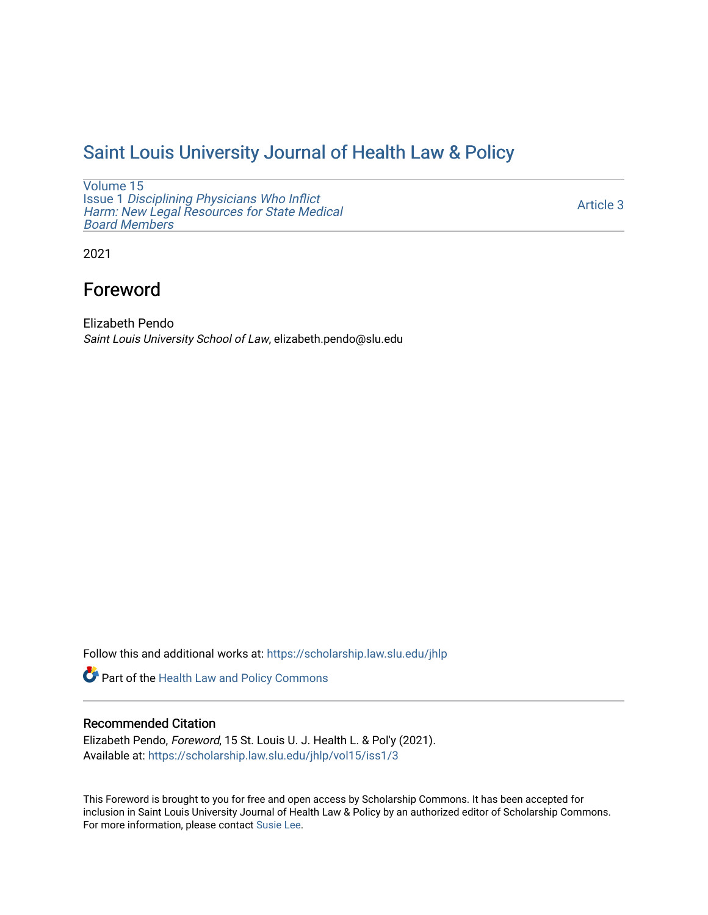## [Saint Louis University Journal of Health Law & Policy](https://scholarship.law.slu.edu/jhlp)

[Volume 15](https://scholarship.law.slu.edu/jhlp/vol15) Issue 1 [Disciplining Physicians Who Inflict](https://scholarship.law.slu.edu/jhlp/vol15/iss1)  [Harm: New Legal Resources for State Medical](https://scholarship.law.slu.edu/jhlp/vol15/iss1) [Board Members](https://scholarship.law.slu.edu/jhlp/vol15/iss1)

[Article 3](https://scholarship.law.slu.edu/jhlp/vol15/iss1/3) 

2021

# Foreword

Elizabeth Pendo Saint Louis University School of Law, elizabeth.pendo@slu.edu

Follow this and additional works at: [https://scholarship.law.slu.edu/jhlp](https://scholarship.law.slu.edu/jhlp?utm_source=scholarship.law.slu.edu%2Fjhlp%2Fvol15%2Fiss1%2F3&utm_medium=PDF&utm_campaign=PDFCoverPages)

Part of the [Health Law and Policy Commons](http://network.bepress.com/hgg/discipline/901?utm_source=scholarship.law.slu.edu%2Fjhlp%2Fvol15%2Fiss1%2F3&utm_medium=PDF&utm_campaign=PDFCoverPages) 

## Recommended Citation

Elizabeth Pendo, Foreword, 15 St. Louis U. J. Health L. & Pol'y (2021). Available at: [https://scholarship.law.slu.edu/jhlp/vol15/iss1/3](https://scholarship.law.slu.edu/jhlp/vol15/iss1/3?utm_source=scholarship.law.slu.edu%2Fjhlp%2Fvol15%2Fiss1%2F3&utm_medium=PDF&utm_campaign=PDFCoverPages) 

This Foreword is brought to you for free and open access by Scholarship Commons. It has been accepted for inclusion in Saint Louis University Journal of Health Law & Policy by an authorized editor of Scholarship Commons. For more information, please contact [Susie Lee](mailto:susie.lee@slu.edu).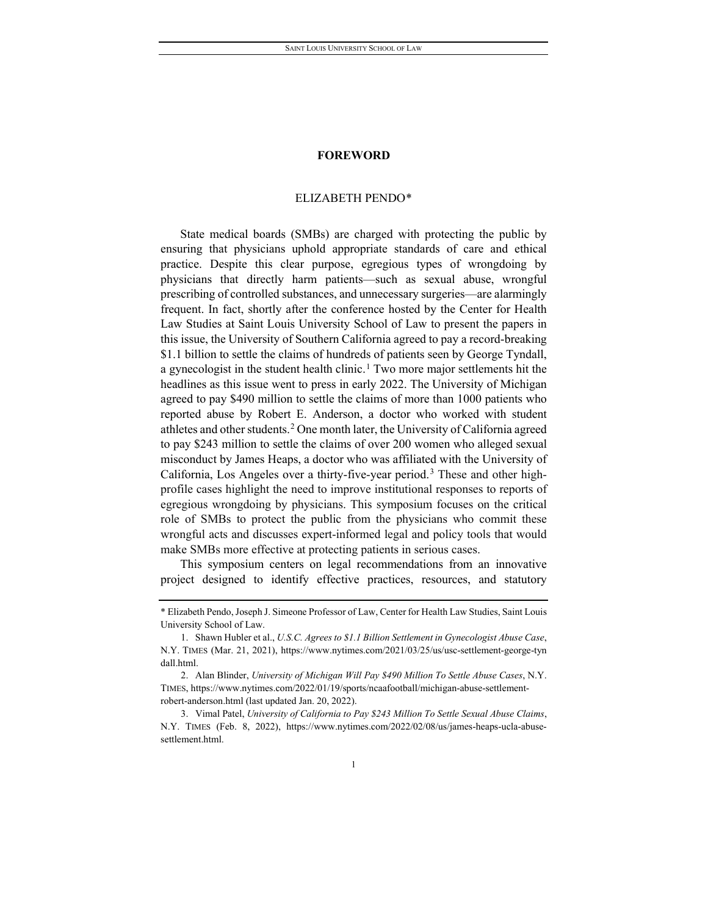## **FOREWORD**

## ELIZABETH PENDO[\\*](#page-1-0)

State medical boards (SMBs) are charged with protecting the public by ensuring that physicians uphold appropriate standards of care and ethical practice. Despite this clear purpose, egregious types of wrongdoing by physicians that directly harm patients—such as sexual abuse, wrongful prescribing of controlled substances, and unnecessary surgeries—are alarmingly frequent. In fact, shortly after the conference hosted by the Center for Health Law Studies at Saint Louis University School of Law to present the papers in this issue, the University of Southern California agreed to pay a record-breaking \$1.1 billion to settle the claims of hundreds of patients seen by George Tyndall, a gynecologist in the student health clinic.<sup>[1](#page-1-1)</sup> Two more major settlements hit the headlines as this issue went to press in early 2022. The University of Michigan agreed to pay \$490 million to settle the claims of more than 1000 patients who reported abuse by Robert E. Anderson, a doctor who worked with student athletes and other students.[2](#page-1-2) One month later, the University of California agreed to pay \$243 million to settle the claims of over 200 women who alleged sexual misconduct by James Heaps, a doctor who was affiliated with the University of California, Los Angeles over a thirty-five-year period.[3](#page-1-3) These and other highprofile cases highlight the need to improve institutional responses to reports of egregious wrongdoing by physicians. This symposium focuses on the critical role of SMBs to protect the public from the physicians who commit these wrongful acts and discusses expert-informed legal and policy tools that would make SMBs more effective at protecting patients in serious cases.

This symposium centers on legal recommendations from an innovative project designed to identify effective practices, resources, and statutory

<span id="page-1-0"></span><sup>\*</sup> Elizabeth Pendo, Joseph J. Simeone Professor of Law, Center for Health Law Studies, Saint Louis University School of Law.

<span id="page-1-1"></span><sup>1.</sup> Shawn Hubler et al., *U.S.C. Agrees to \$1.1 Billion Settlement in Gynecologist Abuse Case*, N.Y. TIMES (Mar. 21, 2021), https://www.nytimes.com/2021/03/25/us/usc-settlement-george-tyn dall.html.

<span id="page-1-2"></span><sup>2.</sup> Alan Blinder, *University of Michigan Will Pay \$490 Million To Settle Abuse Cases*, N.Y. TIMES, https://www.nytimes.com/2022/01/19/sports/ncaafootball/michigan-abuse-settlementrobert-anderson.html (last updated Jan. 20, 2022).

<span id="page-1-3"></span><sup>3.</sup> Vimal Patel, *University of California to Pay \$243 Million To Settle Sexual Abuse Claims*, N.Y. TIMES (Feb. 8, 2022), https://www.nytimes.com/2022/02/08/us/james-heaps-ucla-abusesettlement.html.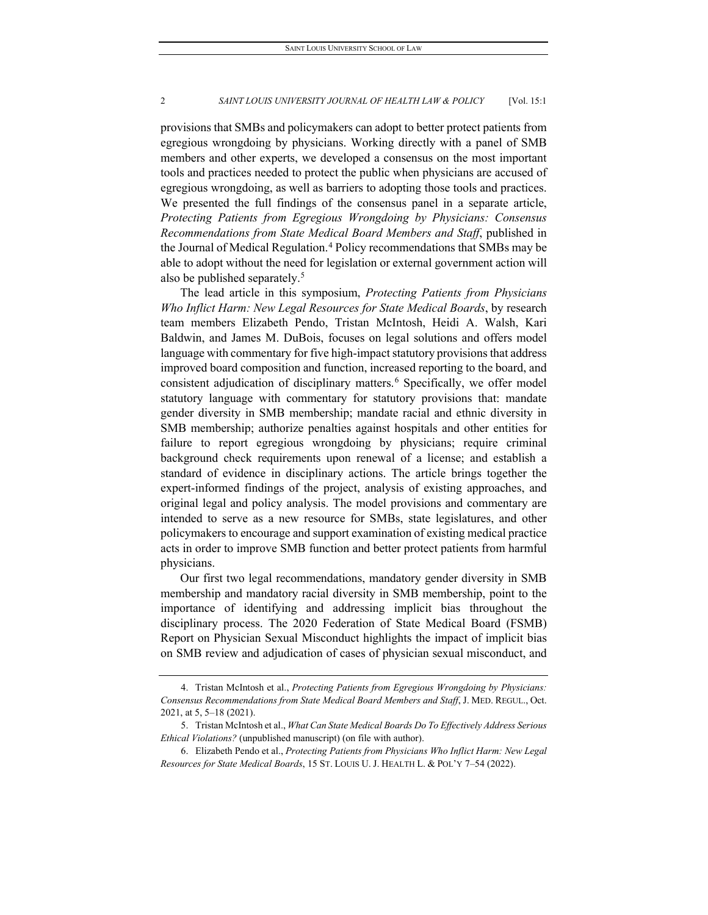### 2 *SAINT LOUIS UNIVERSITY JOURNAL OF HEALTH LAW & POLICY* [Vol. 15:1

provisions that SMBs and policymakers can adopt to better protect patients from egregious wrongdoing by physicians. Working directly with a panel of SMB members and other experts, we developed a consensus on the most important tools and practices needed to protect the public when physicians are accused of egregious wrongdoing, as well as barriers to adopting those tools and practices. We presented the full findings of the consensus panel in a separate article, *Protecting Patients from Egregious Wrongdoing by Physicians: Consensus Recommendations from State Medical Board Members and Staff*, published in the Journal of Medical Regulation.<sup>[4](#page-2-0)</sup> Policy recommendations that SMBs may be able to adopt without the need for legislation or external government action will also be published separately.<sup>[5](#page-2-1)</sup>

The lead article in this symposium, *Protecting Patients from Physicians Who Inflict Harm: New Legal Resources for State Medical Boards*, by research team members Elizabeth Pendo, Tristan McIntosh, Heidi A. Walsh, Kari Baldwin, and James M. DuBois, focuses on legal solutions and offers model language with commentary for five high-impact statutory provisions that address improved board composition and function, increased reporting to the board, and consistent adjudication of disciplinary matters.[6](#page-2-2) Specifically, we offer model statutory language with commentary for statutory provisions that: mandate gender diversity in SMB membership; mandate racial and ethnic diversity in SMB membership; authorize penalties against hospitals and other entities for failure to report egregious wrongdoing by physicians; require criminal background check requirements upon renewal of a license; and establish a standard of evidence in disciplinary actions. The article brings together the expert-informed findings of the project, analysis of existing approaches, and original legal and policy analysis. The model provisions and commentary are intended to serve as a new resource for SMBs, state legislatures, and other policymakers to encourage and support examination of existing medical practice acts in order to improve SMB function and better protect patients from harmful physicians.

Our first two legal recommendations, mandatory gender diversity in SMB membership and mandatory racial diversity in SMB membership, point to the importance of identifying and addressing implicit bias throughout the disciplinary process. The 2020 Federation of State Medical Board (FSMB) Report on Physician Sexual Misconduct highlights the impact of implicit bias on SMB review and adjudication of cases of physician sexual misconduct, and

<span id="page-2-0"></span><sup>4.</sup> Tristan McIntosh et al., *Protecting Patients from Egregious Wrongdoing by Physicians: Consensus Recommendations from State Medical Board Members and Staff*, J. MED. REGUL., Oct. 2021, at 5, 5–18 (2021).

<span id="page-2-1"></span><sup>5.</sup> Tristan McIntosh et al., *What Can State Medical Boards Do To Effectively Address Serious Ethical Violations?* (unpublished manuscript) (on file with author).

<span id="page-2-2"></span><sup>6.</sup> Elizabeth Pendo et al., *Protecting Patients from Physicians Who Inflict Harm: New Legal Resources for State Medical Boards*, 15 ST. LOUIS U. J. HEALTH L. & POL'Y 7–54 (2022).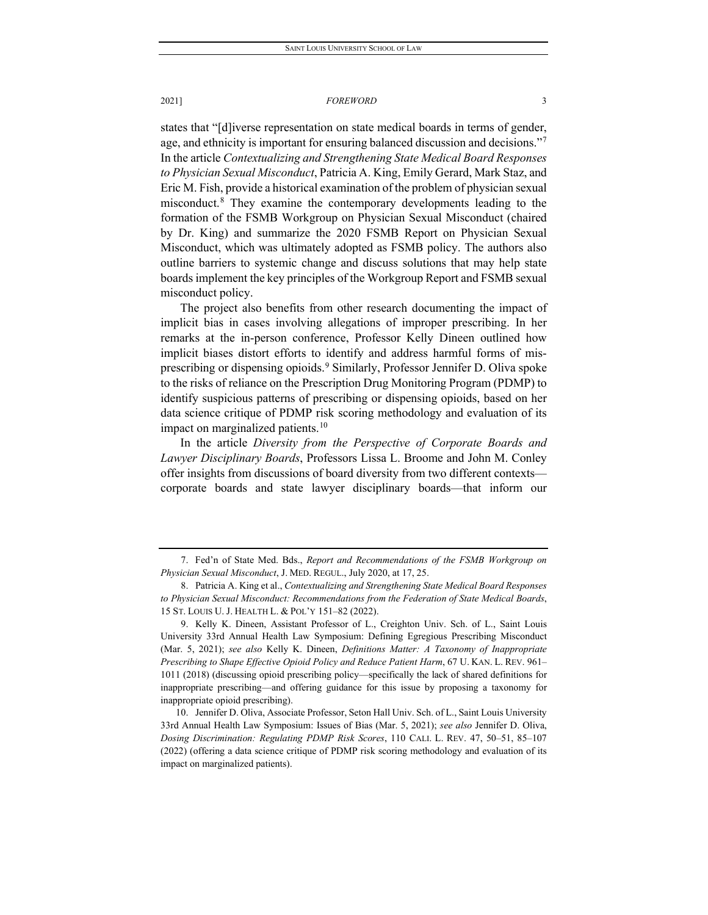### 2021] *FOREWORD* 3

states that "[d]iverse representation on state medical boards in terms of gender, age, and ethnicity is important for ensuring balanced discussion and decisions."<sup>7</sup> In the article *Contextualizing and Strengthening State Medical Board Responses to Physician Sexual Misconduct*, Patricia A. King, Emily Gerard, Mark Staz, and Eric M. Fish, provide a historical examination of the problem of physician sexual misconduct.[8](#page-3-1) They examine the contemporary developments leading to the formation of the FSMB Workgroup on Physician Sexual Misconduct (chaired by Dr. King) and summarize the 2020 FSMB Report on Physician Sexual Misconduct, which was ultimately adopted as FSMB policy. The authors also outline barriers to systemic change and discuss solutions that may help state boards implement the key principles of the Workgroup Report and FSMB sexual misconduct policy.

The project also benefits from other research documenting the impact of implicit bias in cases involving allegations of improper prescribing. In her remarks at the in-person conference, Professor Kelly Dineen outlined how implicit biases distort efforts to identify and address harmful forms of misprescribing or dispensing opioids.[9](#page-3-2) Similarly, Professor Jennifer D. Oliva spoke to the risks of reliance on the Prescription Drug Monitoring Program (PDMP) to identify suspicious patterns of prescribing or dispensing opioids, based on her data science critique of PDMP risk scoring methodology and evaluation of its impact on marginalized patients.<sup>10</sup>

In the article *Diversity from the Perspective of Corporate Boards and Lawyer Disciplinary Boards*, Professors Lissa L. Broome and John M. Conley offer insights from discussions of board diversity from two different contexts corporate boards and state lawyer disciplinary boards—that inform our

<span id="page-3-0"></span><sup>7.</sup> Fed'n of State Med. Bds., *Report and Recommendations of the FSMB Workgroup on Physician Sexual Misconduct*, J. MED. REGUL., July 2020, at 17, 25.

<span id="page-3-1"></span><sup>8.</sup> Patricia A. King et al., *Contextualizing and Strengthening State Medical Board Responses to Physician Sexual Misconduct: Recommendations from the Federation of State Medical Boards*, 15 ST. LOUIS U. J. HEALTH L. & POL'Y 151–82 (2022).

<span id="page-3-2"></span><sup>9.</sup> Kelly K. Dineen, Assistant Professor of L., Creighton Univ. Sch. of L., Saint Louis University 33rd Annual Health Law Symposium: Defining Egregious Prescribing Misconduct (Mar. 5, 2021); *see also* Kelly K. Dineen, *Definitions Matter: A Taxonomy of Inappropriate Prescribing to Shape Effective Opioid Policy and Reduce Patient Harm*, 67 U. KAN. L. REV. 961– 1011 (2018) (discussing opioid prescribing policy—specifically the lack of shared definitions for inappropriate prescribing—and offering guidance for this issue by proposing a taxonomy for inappropriate opioid prescribing).

<span id="page-3-3"></span><sup>10.</sup> Jennifer D. Oliva, Associate Professor, Seton Hall Univ. Sch. of L., Saint Louis University 33rd Annual Health Law Symposium: Issues of Bias (Mar. 5, 2021); *see also* Jennifer D. Oliva, *Dosing Discrimination: Regulating PDMP Risk Scores*, 110 CALI. L. REV. 47, 50–51, 85–107 (2022) (offering a data science critique of PDMP risk scoring methodology and evaluation of its impact on marginalized patients).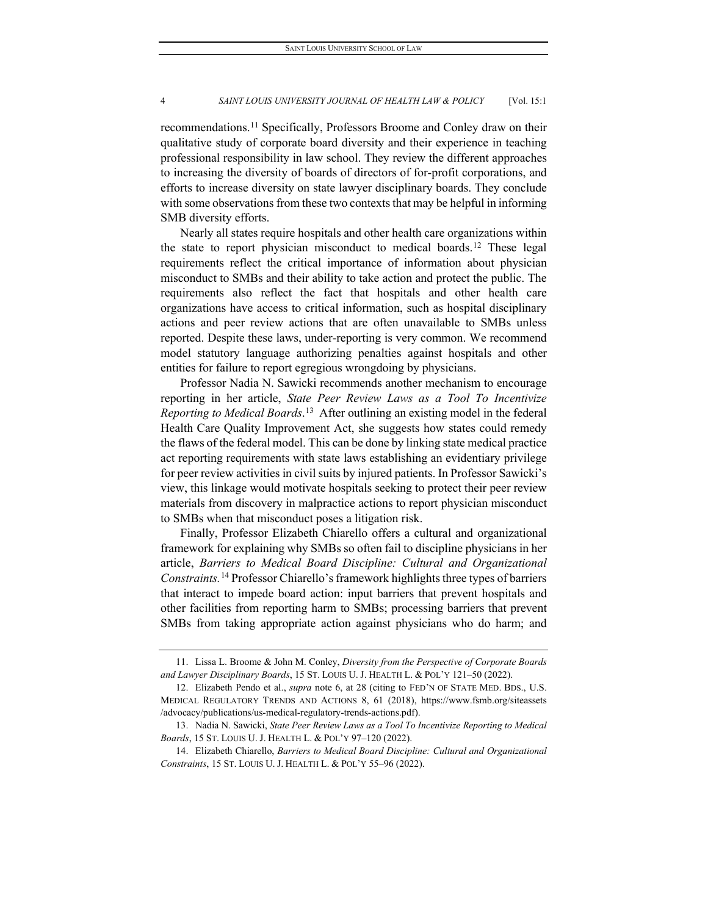### 4 *SAINT LOUIS UNIVERSITY JOURNAL OF HEALTH LAW & POLICY* [Vol. 15:1

recommendations.[11](#page-4-0) Specifically, Professors Broome and Conley draw on their qualitative study of corporate board diversity and their experience in teaching professional responsibility in law school. They review the different approaches to increasing the diversity of boards of directors of for-profit corporations, and efforts to increase diversity on state lawyer disciplinary boards. They conclude with some observations from these two contexts that may be helpful in informing SMB diversity efforts.

Nearly all states require hospitals and other health care organizations within the state to report physician misconduct to medical boards.<sup>[12](#page-4-1)</sup> These legal requirements reflect the critical importance of information about physician misconduct to SMBs and their ability to take action and protect the public. The requirements also reflect the fact that hospitals and other health care organizations have access to critical information, such as hospital disciplinary actions and peer review actions that are often unavailable to SMBs unless reported. Despite these laws, under-reporting is very common. We recommend model statutory language authorizing penalties against hospitals and other entities for failure to report egregious wrongdoing by physicians.

Professor Nadia N. Sawicki recommends another mechanism to encourage reporting in her article, *State Peer Review Laws as a Tool To Incentivize Reporting to Medical Boards*. [13](#page-4-2)After outlining an existing model in the federal Health Care Quality Improvement Act, she suggests how states could remedy the flaws of the federal model. This can be done by linking state medical practice act reporting requirements with state laws establishing an evidentiary privilege for peer review activities in civil suits by injured patients. In Professor Sawicki's view, this linkage would motivate hospitals seeking to protect their peer review materials from discovery in malpractice actions to report physician misconduct to SMBs when that misconduct poses a litigation risk.

Finally, Professor Elizabeth Chiarello offers a cultural and organizational framework for explaining why SMBs so often fail to discipline physicians in her article, *Barriers to Medical Board Discipline: Cultural and Organizational Constraints.*[14](#page-4-3) Professor Chiarello'sframework highlights three types of barriers that interact to impede board action: input barriers that prevent hospitals and other facilities from reporting harm to SMBs; processing barriers that prevent SMBs from taking appropriate action against physicians who do harm; and

<span id="page-4-0"></span><sup>11.</sup> Lissa L. Broome & John M. Conley, *Diversity from the Perspective of Corporate Boards and Lawyer Disciplinary Boards*, 15 ST. LOUIS U. J. HEALTH L. & POL'Y 121–50 (2022).

<span id="page-4-1"></span><sup>12.</sup> Elizabeth Pendo et al., *supra* note 6, at 28 (citing to FED'N OF STATE MED. BDS., U.S. MEDICAL REGULATORY TRENDS AND ACTIONS 8, 61 (2018), https://www.fsmb.org/siteassets /advocacy/publications/us-medical-regulatory-trends-actions.pdf).

<span id="page-4-2"></span><sup>13.</sup> Nadia N. Sawicki, *State Peer Review Laws as a Tool To Incentivize Reporting to Medical Boards*, 15 ST. LOUIS U. J. HEALTH L. & POL'Y 97–120 (2022).

<span id="page-4-3"></span><sup>14.</sup> Elizabeth Chiarello, *Barriers to Medical Board Discipline: Cultural and Organizational Constraints*, 15 ST. LOUIS U. J. HEALTH L. & POL'Y 55–96 (2022).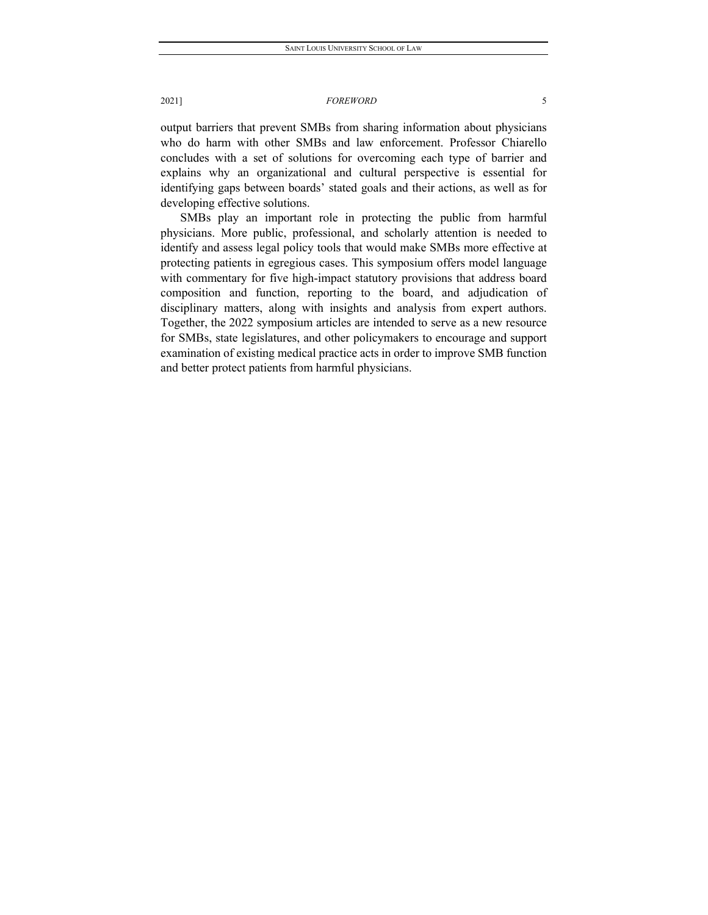### 2021] *FOREWORD* 5

output barriers that prevent SMBs from sharing information about physicians who do harm with other SMBs and law enforcement. Professor Chiarello concludes with a set of solutions for overcoming each type of barrier and explains why an organizational and cultural perspective is essential for identifying gaps between boards' stated goals and their actions, as well as for developing effective solutions.

SMBs play an important role in protecting the public from harmful physicians. More public, professional, and scholarly attention is needed to identify and assess legal policy tools that would make SMBs more effective at protecting patients in egregious cases. This symposium offers model language with commentary for five high-impact statutory provisions that address board composition and function, reporting to the board, and adjudication of disciplinary matters, along with insights and analysis from expert authors. Together, the 2022 symposium articles are intended to serve as a new resource for SMBs, state legislatures, and other policymakers to encourage and support examination of existing medical practice acts in order to improve SMB function and better protect patients from harmful physicians.